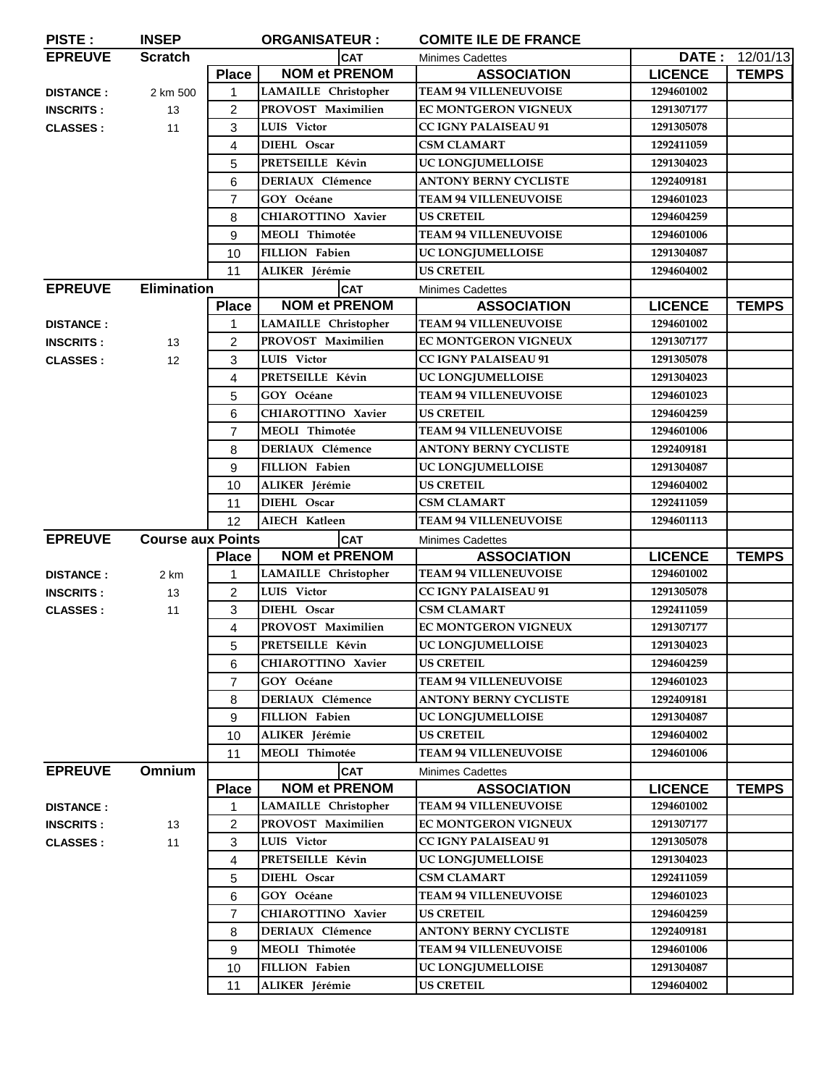| PISTE:           | <b>INSEP</b>             |                | <b>ORGANISATEUR :</b>       | <b>COMITE ILE DE FRANCE</b>  |                |                |
|------------------|--------------------------|----------------|-----------------------------|------------------------------|----------------|----------------|
| <b>EPREUVE</b>   | <b>Scratch</b>           |                | <b>CAT</b>                  | <b>Minimes Cadettes</b>      |                | DATE: 12/01/13 |
|                  |                          | <b>Place</b>   | <b>NOM et PRENOM</b>        | <b>ASSOCIATION</b>           | <b>LICENCE</b> | <b>TEMPS</b>   |
| <b>DISTANCE:</b> | 2 km 500                 | 1              | LAMAILLE Christopher        | <b>TEAM 94 VILLENEUVOISE</b> | 1294601002     |                |
| <b>INSCRITS:</b> | 13                       | $\overline{2}$ | PROVOST Maximilien          | <b>EC MONTGERON VIGNEUX</b>  | 1291307177     |                |
| <b>CLASSES:</b>  | 11                       | 3              | LUIS Victor                 | <b>CC IGNY PALAISEAU 91</b>  | 1291305078     |                |
|                  |                          | 4              | DIEHL Oscar                 | <b>CSM CLAMART</b>           | 1292411059     |                |
|                  |                          | 5              | PRETSEILLE Kévin            | UC LONGJUMELLOISE            | 1291304023     |                |
|                  |                          | 6              | <b>DERIAUX Clémence</b>     | <b>ANTONY BERNY CYCLISTE</b> | 1292409181     |                |
|                  |                          | 7              | GOY Océane                  | <b>TEAM 94 VILLENEUVOISE</b> | 1294601023     |                |
|                  |                          | 8              | <b>CHIAROTTINO Xavier</b>   | <b>US CRETEIL</b>            | 1294604259     |                |
|                  |                          | 9              | <b>MEOLI</b> Thimotée       | <b>TEAM 94 VILLENEUVOISE</b> | 1294601006     |                |
|                  |                          | 10             | <b>FILLION Fabien</b>       | UC LONGJUMELLOISE            | 1291304087     |                |
|                  |                          | 11             | ALIKER Jérémie              | <b>US CRETEIL</b>            | 1294604002     |                |
| <b>EPREUVE</b>   | <b>Elimination</b>       |                | <b>CAT</b>                  | <b>Minimes Cadettes</b>      |                |                |
|                  |                          | <b>Place</b>   | <b>NOM et PRENOM</b>        | <b>ASSOCIATION</b>           | <b>LICENCE</b> | <b>TEMPS</b>   |
| <b>DISTANCE:</b> |                          | 1              | LAMAILLE Christopher        | <b>TEAM 94 VILLENEUVOISE</b> | 1294601002     |                |
| <b>INSCRITS:</b> | 13                       | 2              | PROVOST Maximilien          | EC MONTGERON VIGNEUX         | 1291307177     |                |
| <b>CLASSES:</b>  | 12                       | 3              | LUIS Victor                 | <b>CC IGNY PALAISEAU 91</b>  | 1291305078     |                |
|                  |                          | 4              | PRETSEILLE Kévin            | UC LONGJUMELLOISE            | 1291304023     |                |
|                  |                          | 5              | GOY Océane                  | <b>TEAM 94 VILLENEUVOISE</b> | 1294601023     |                |
|                  |                          | 6              | CHIAROTTINO Xavier          | <b>US CRETEIL</b>            | 1294604259     |                |
|                  |                          | $\overline{7}$ | <b>MEOLI Thimotée</b>       | <b>TEAM 94 VILLENEUVOISE</b> | 1294601006     |                |
|                  |                          | 8              | <b>DERIAUX Clémence</b>     | <b>ANTONY BERNY CYCLISTE</b> | 1292409181     |                |
|                  |                          | 9              | <b>FILLION Fabien</b>       | UC LONGJUMELLOISE            | 1291304087     |                |
|                  |                          | 10             | ALIKER Jérémie              | <b>US CRETEIL</b>            | 1294604002     |                |
|                  |                          | 11             | DIEHL Oscar                 | <b>CSM CLAMART</b>           | 1292411059     |                |
|                  |                          | 12             | AIECH Katleen               | <b>TEAM 94 VILLENEUVOISE</b> | 1294601113     |                |
| <b>EPREUVE</b>   | <b>Course aux Points</b> |                | <b>CAT</b>                  | <b>Minimes Cadettes</b>      |                |                |
|                  |                          | <b>Place</b>   | <b>NOM et PRENOM</b>        | <b>ASSOCIATION</b>           | <b>LICENCE</b> | <b>TEMPS</b>   |
| <b>DISTANCE:</b> | 2 km                     | 1              | <b>LAMAILLE</b> Christopher | <b>TEAM 94 VILLENEUVOISE</b> | 1294601002     |                |
| <b>INSCRITS:</b> | 13                       | $\overline{2}$ | LUIS Victor                 | <b>CC IGNY PALAISEAU 91</b>  | 1291305078     |                |
| <b>CLASSES:</b>  | 11                       | 3              | DIEHL Oscar                 | <b>CSM CLAMART</b>           | 1292411059     |                |
|                  |                          | $\overline{4}$ | PROVOST Maximilien          | <b>EC MONTGERON VIGNEUX</b>  | 1291307177     |                |
|                  |                          | 5              | PRETSEILLE Kévin            | UC LONGJUMELLOISE            | 1291304023     |                |
|                  |                          | 6              | <b>CHIAROTTINO Xavier</b>   | <b>US CRETEIL</b>            | 1294604259     |                |
|                  |                          | $\overline{7}$ | GOY Océane                  | <b>TEAM 94 VILLENEUVOISE</b> | 1294601023     |                |
|                  |                          | 8              | DERIAUX Clémence            | <b>ANTONY BERNY CYCLISTE</b> | 1292409181     |                |
|                  |                          | 9              | FILLION Fabien              | UC LONGJUMELLOISE            | 1291304087     |                |
|                  |                          | 10             | ALIKER Jérémie              | <b>US CRETEIL</b>            | 1294604002     |                |
|                  |                          | 11             | <b>MEOLI</b> Thimotée       | <b>TEAM 94 VILLENEUVOISE</b> | 1294601006     |                |
| <b>EPREUVE</b>   | Omnium                   |                | <b>CAT</b>                  | <b>Minimes Cadettes</b>      |                |                |
|                  |                          | <b>Place</b>   | <b>NOM et PRENOM</b>        | <b>ASSOCIATION</b>           | <b>LICENCE</b> | <b>TEMPS</b>   |
| <b>DISTANCE:</b> |                          | 1.             | LAMAILLE Christopher        | <b>TEAM 94 VILLENEUVOISE</b> | 1294601002     |                |
| <b>INSCRITS:</b> | 13                       | 2              | PROVOST Maximilien          | EC MONTGERON VIGNEUX         | 1291307177     |                |
| <b>CLASSES:</b>  | 11                       | 3              | LUIS Victor                 | CC IGNY PALAISEAU 91         | 1291305078     |                |
|                  |                          | 4              | PRETSEILLE Kévin            | UC LONGJUMELLOISE            | 1291304023     |                |
|                  |                          | 5              | DIEHL Oscar                 | <b>CSM CLAMART</b>           | 1292411059     |                |
|                  |                          | 6              | GOY Océane                  | <b>TEAM 94 VILLENEUVOISE</b> | 1294601023     |                |
|                  |                          | 7              | <b>CHIAROTTINO Xavier</b>   | <b>US CRETEIL</b>            | 1294604259     |                |
|                  |                          | 8              | <b>DERIAUX Clémence</b>     | <b>ANTONY BERNY CYCLISTE</b> | 1292409181     |                |
|                  |                          | 9              | MEOLI Thimotée              | <b>TEAM 94 VILLENEUVOISE</b> | 1294601006     |                |
|                  |                          | 10             | <b>FILLION Fabien</b>       | UC LONGJUMELLOISE            | 1291304087     |                |
|                  |                          | 11             | ALIKER Jérémie              | <b>US CRETEIL</b>            | 1294604002     |                |
|                  |                          |                |                             |                              |                |                |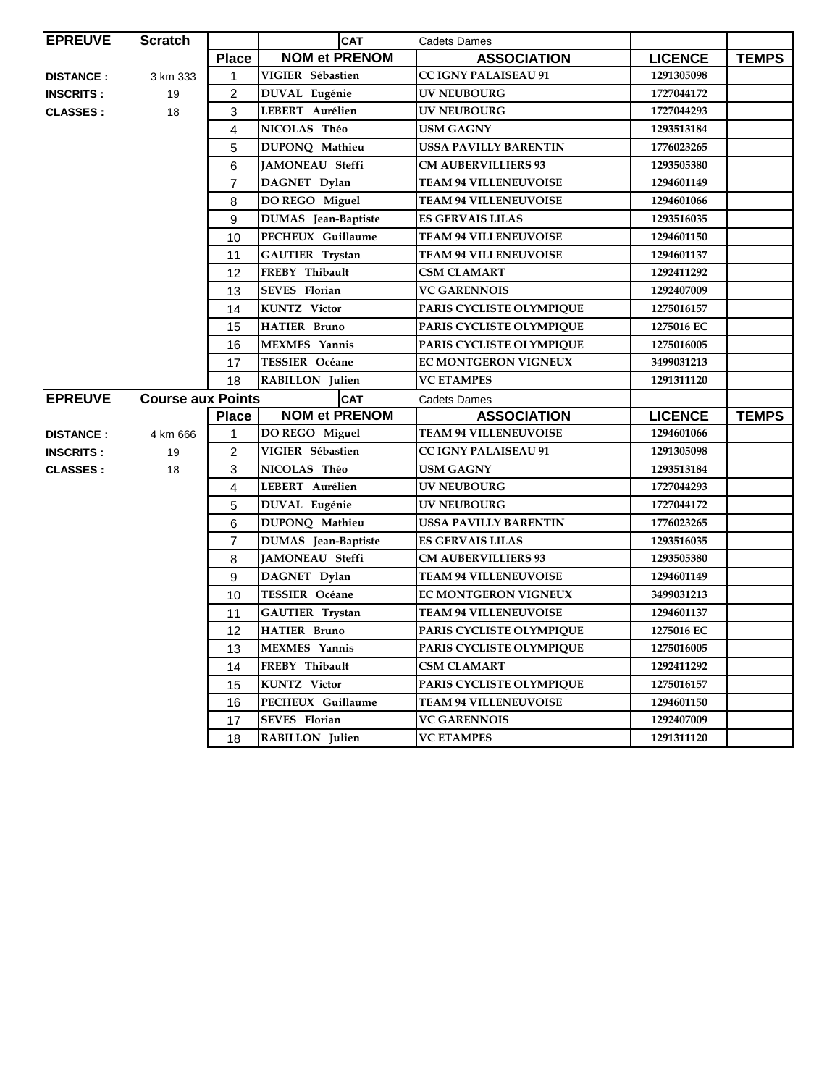| <b>EPREUVE</b>   | <b>Scratch</b>           |                | <b>CAT</b>                 | <b>Cadets Dames</b>          |                |              |
|------------------|--------------------------|----------------|----------------------------|------------------------------|----------------|--------------|
|                  |                          | <b>Place</b>   | <b>NOM et PRENOM</b>       | <b>ASSOCIATION</b>           | <b>LICENCE</b> | <b>TEMPS</b> |
| <b>DISTANCE:</b> | 3 km 333                 | $\mathbf{1}$   | VIGIER Sébastien           | <b>CC IGNY PALAISEAU 91</b>  | 1291305098     |              |
| <b>INSCRITS:</b> | 19                       | $\overline{c}$ | DUVAL Eugénie              | UV NEUBOURG                  | 1727044172     |              |
| <b>CLASSES:</b>  | 18                       | 3              | LEBERT Aurélien            | <b>UV NEUBOURG</b>           | 1727044293     |              |
|                  |                          | 4              | NICOLAS Théo               | <b>USM GAGNY</b>             | 1293513184     |              |
|                  |                          | 5              | DUPONQ Mathieu             | <b>USSA PAVILLY BARENTIN</b> | 1776023265     |              |
|                  |                          | 6              | <b>JAMONEAU Steffi</b>     | <b>CM AUBERVILLIERS 93</b>   | 1293505380     |              |
|                  |                          | $\overline{7}$ | DAGNET Dylan               | <b>TEAM 94 VILLENEUVOISE</b> | 1294601149     |              |
|                  |                          | 8              | DO REGO Miguel             | <b>TEAM 94 VILLENEUVOISE</b> | 1294601066     |              |
|                  |                          | 9              | DUMAS Jean-Baptiste        | <b>ES GERVAIS LILAS</b>      | 1293516035     |              |
|                  |                          | 10             | PECHEUX Guillaume          | <b>TEAM 94 VILLENEUVOISE</b> | 1294601150     |              |
|                  |                          | 11             | <b>GAUTIER Trystan</b>     | <b>TEAM 94 VILLENEUVOISE</b> | 1294601137     |              |
|                  |                          | 12             | FREBY Thibault             | <b>CSM CLAMART</b>           | 1292411292     |              |
|                  |                          | 13             | <b>SEVES</b> Florian       | <b>VC GARENNOIS</b>          | 1292407009     |              |
|                  |                          | 14             | <b>KUNTZ</b> Victor        | PARIS CYCLISTE OLYMPIQUE     | 1275016157     |              |
|                  |                          | 15             | <b>HATIER Bruno</b>        | PARIS CYCLISTE OLYMPIQUE     | 1275016 EC     |              |
|                  |                          | 16             | <b>MEXMES</b> Yannis       | PARIS CYCLISTE OLYMPIQUE     | 1275016005     |              |
|                  |                          | 17             | <b>TESSIER Océane</b>      | <b>EC MONTGERON VIGNEUX</b>  | 3499031213     |              |
|                  |                          | 18             | <b>RABILLON</b> Julien     | <b>VC ETAMPES</b>            | 1291311120     |              |
| <b>EPREUVE</b>   | <b>Course aux Points</b> |                | <b>CAT</b>                 | <b>Cadets Dames</b>          |                |              |
|                  |                          | <b>Place</b>   | <b>NOM et PRENOM</b>       | <b>ASSOCIATION</b>           | <b>LICENCE</b> | <b>TEMPS</b> |
| <b>DISTANCE:</b> | 4 km 666                 | 1              | DO REGO Miguel             | <b>TEAM 94 VILLENEUVOISE</b> | 1294601066     |              |
| <b>INSCRITS:</b> | 19                       | $\overline{c}$ | VIGIER Sébastien           | <b>CC IGNY PALAISEAU 91</b>  | 1291305098     |              |
| <b>CLASSES:</b>  | 18                       | 3              | NICOLAS Théo               | <b>USM GAGNY</b>             | 1293513184     |              |
|                  |                          | 4              | LEBERT Aurélien            | <b>UV NEUBOURG</b>           | 1727044293     |              |
|                  |                          | 5              | DUVAL Eugénie              | <b>UV NEUBOURG</b>           | 1727044172     |              |
|                  |                          | 6              | DUPONQ Mathieu             | <b>USSA PAVILLY BARENTIN</b> | 1776023265     |              |
|                  |                          | 7              | <b>DUMAS</b> Jean-Baptiste | <b>ES GERVAIS LILAS</b>      | 1293516035     |              |
|                  |                          | 8              | JAMONEAU Steffi            | <b>CM AUBERVILLIERS 93</b>   | 1293505380     |              |
|                  |                          | 9              | DAGNET Dylan               | <b>TEAM 94 VILLENEUVOISE</b> | 1294601149     |              |
|                  |                          | 10             | TESSIER Océane             | <b>EC MONTGERON VIGNEUX</b>  | 3499031213     |              |
|                  |                          | 11             | <b>GAUTIER Trystan</b>     | <b>TEAM 94 VILLENEUVOISE</b> | 1294601137     |              |
|                  |                          | 12             | <b>HATIER Bruno</b>        | PARIS CYCLISTE OLYMPIQUE     | 1275016 EC     |              |
|                  |                          | 13             | <b>MEXMES</b> Yannis       | PARIS CYCLISTE OLYMPIQUE     | 1275016005     |              |
|                  |                          | 14             | FREBY Thibault             | <b>CSM CLAMART</b>           | 1292411292     |              |
|                  |                          | 15             | <b>KUNTZ</b> Victor        | PARIS CYCLISTE OLYMPIQUE     | 1275016157     |              |
|                  |                          | 16             | PECHEUX Guillaume          | <b>TEAM 94 VILLENEUVOISE</b> | 1294601150     |              |
|                  |                          | 17             | <b>SEVES</b> Florian       | <b>VC GARENNOIS</b>          | 1292407009     |              |
|                  |                          | 18             | RABILLON Julien            | <b>VC ETAMPES</b>            | 1291311120     |              |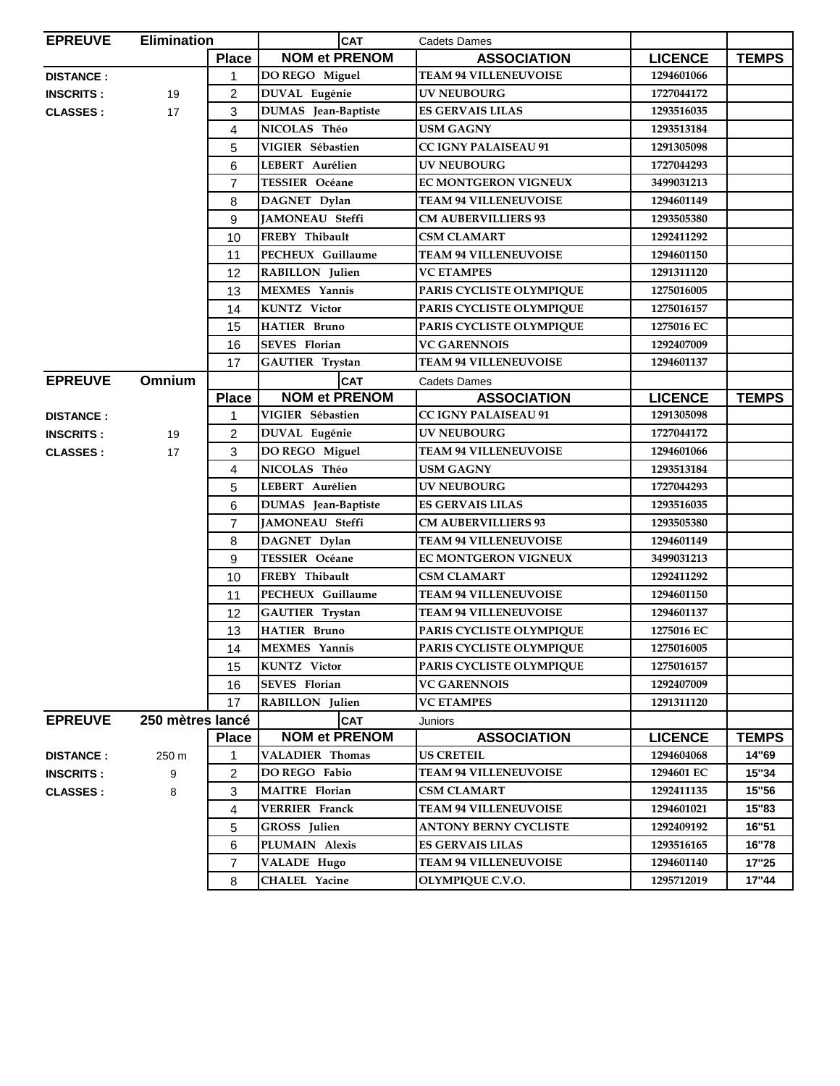| <b>EPREUVE</b>   | <b>Elimination</b> |                | <b>CAT</b>                 | Cadets Dames                 |                |              |
|------------------|--------------------|----------------|----------------------------|------------------------------|----------------|--------------|
|                  |                    | <b>Place</b>   | <b>NOM et PRENOM</b>       | <b>ASSOCIATION</b>           | <b>LICENCE</b> | <b>TEMPS</b> |
| <b>DISTANCE:</b> |                    | 1              | DO REGO Miguel             | <b>TEAM 94 VILLENEUVOISE</b> | 1294601066     |              |
| <b>INSCRITS:</b> | 19                 | 2              | DUVAL Eugénie              | <b>UV NEUBOURG</b>           | 1727044172     |              |
| <b>CLASSES:</b>  | 17                 | 3              | <b>DUMAS</b> Jean-Baptiste | <b>ES GERVAIS LILAS</b>      | 1293516035     |              |
|                  |                    | 4              | NICOLAS Théo               | USM GAGNY                    | 1293513184     |              |
|                  |                    | 5              | VIGIER Sébastien           | <b>CC IGNY PALAISEAU 91</b>  | 1291305098     |              |
|                  |                    | 6              | LEBERT Aurélien            | <b>UV NEUBOURG</b>           | 1727044293     |              |
|                  |                    | 7              | <b>TESSIER</b> Océane      | EC MONTGERON VIGNEUX         | 3499031213     |              |
|                  |                    | 8              | DAGNET Dylan               | <b>TEAM 94 VILLENEUVOISE</b> | 1294601149     |              |
|                  |                    | 9              | <b>JAMONEAU</b> Steffi     | <b>CM AUBERVILLIERS 93</b>   | 1293505380     |              |
|                  |                    | 10             | FREBY Thibault             | <b>CSM CLAMART</b>           | 1292411292     |              |
|                  |                    | 11             | PECHEUX Guillaume          | <b>TEAM 94 VILLENEUVOISE</b> | 1294601150     |              |
|                  |                    | 12             | RABILLON Julien            | <b>VC ETAMPES</b>            | 1291311120     |              |
|                  |                    | 13             | <b>MEXMES</b> Yannis       | PARIS CYCLISTE OLYMPIQUE     | 1275016005     |              |
|                  |                    | 14             | <b>KUNTZ</b> Victor        | PARIS CYCLISTE OLYMPIQUE     | 1275016157     |              |
|                  |                    | 15             | <b>HATIER Bruno</b>        | PARIS CYCLISTE OLYMPIQUE     | 1275016 EC     |              |
|                  |                    | 16             | <b>SEVES</b> Florian       | <b>VC GARENNOIS</b>          | 1292407009     |              |
|                  |                    | 17             | <b>GAUTIER Trystan</b>     | <b>TEAM 94 VILLENEUVOISE</b> | 1294601137     |              |
| <b>EPREUVE</b>   | <b>Omnium</b>      |                | <b>CAT</b>                 | <b>Cadets Dames</b>          |                |              |
|                  |                    | <b>Place</b>   | <b>NOM et PRENOM</b>       | <b>ASSOCIATION</b>           | <b>LICENCE</b> | <b>TEMPS</b> |
| <b>DISTANCE:</b> |                    | 1              | VIGIER Sébastien           | <b>CC IGNY PALAISEAU 91</b>  | 1291305098     |              |
| <b>INSCRITS:</b> | 19                 | 2              | DUVAL Eugénie              | <b>UV NEUBOURG</b>           | 1727044172     |              |
| <b>CLASSES:</b>  | 17                 | 3              | DO REGO Miguel             | <b>TEAM 94 VILLENEUVOISE</b> | 1294601066     |              |
|                  |                    | 4              | NICOLAS Théo               | <b>USM GAGNY</b>             | 1293513184     |              |
|                  |                    | 5              | LEBERT Aurélien            | UV NEUBOURG                  | 1727044293     |              |
|                  |                    | 6              | DUMAS Jean-Baptiste        | <b>ES GERVAIS LILAS</b>      | 1293516035     |              |
|                  |                    | $\overline{7}$ | <b>JAMONEAU</b> Steffi     | <b>CM AUBERVILLIERS 93</b>   | 1293505380     |              |
|                  |                    | 8              | DAGNET Dylan               | <b>TEAM 94 VILLENEUVOISE</b> | 1294601149     |              |
|                  |                    | 9              | <b>TESSIER Océane</b>      | <b>EC MONTGERON VIGNEUX</b>  | 3499031213     |              |
|                  |                    | 10             | FREBY Thibault             | <b>CSM CLAMART</b>           | 1292411292     |              |
|                  |                    | 11             | PECHEUX Guillaume          | <b>TEAM 94 VILLENEUVOISE</b> | 1294601150     |              |
|                  |                    | 12             | <b>GAUTIER</b> Trystan     | <b>TEAM 94 VILLENEUVOISE</b> | 1294601137     |              |
|                  |                    | 13             | <b>HATIER Bruno</b>        | PARIS CYCLISTE OLYMPIQUE     | 1275016 EC     |              |
|                  |                    | 14             | MEXMES Yannis              | PARIS CYCLISTE OLYMPIQUE     | 1275016005     |              |
|                  |                    | 15             | <b>KUNTZ</b> Victor        | PARIS CYCLISTE OLYMPIQUE     | 1275016157     |              |
|                  |                    | 16             | <b>SEVES</b> Florian       | <b>VC GARENNOIS</b>          | 1292407009     |              |
|                  |                    | 17             | RABILLON Julien            | <b>VC ETAMPES</b>            | 1291311120     |              |
| <b>EPREUVE</b>   | 250 mètres lancé   |                | <b>CAT</b>                 | Juniors                      |                |              |
|                  |                    | <b>Place</b>   | <b>NOM et PRENOM</b>       | <b>ASSOCIATION</b>           | <b>LICENCE</b> | <b>TEMPS</b> |
| <b>DISTANCE:</b> | 250 m              | 1              | <b>VALADIER Thomas</b>     | <b>US CRETEIL</b>            | 1294604068     | 14"69        |
| <b>INSCRITS:</b> | 9                  | 2              | DO REGO Fabio              | <b>TEAM 94 VILLENEUVOISE</b> | 1294601 EC     | 15"34        |
| <b>CLASSES:</b>  | 8                  | 3              | <b>MAITRE</b> Florian      | <b>CSM CLAMART</b>           | 1292411135     | 15"56        |
|                  |                    | 4              | <b>VERRIER Franck</b>      | <b>TEAM 94 VILLENEUVOISE</b> | 1294601021     | 15"83        |
|                  |                    | 5              | <b>GROSS</b> Julien        | <b>ANTONY BERNY CYCLISTE</b> | 1292409192     | 16"51        |
|                  |                    | 6              | PLUMAIN Alexis             | <b>ES GERVAIS LILAS</b>      | 1293516165     | 16"78        |
|                  |                    | 7              | <b>VALADE Hugo</b>         | <b>TEAM 94 VILLENEUVOISE</b> | 1294601140     | 17"25        |
|                  |                    | 8              | <b>CHALEL Yacine</b>       | OLYMPIQUE C.V.O.             | 1295712019     | 17"44        |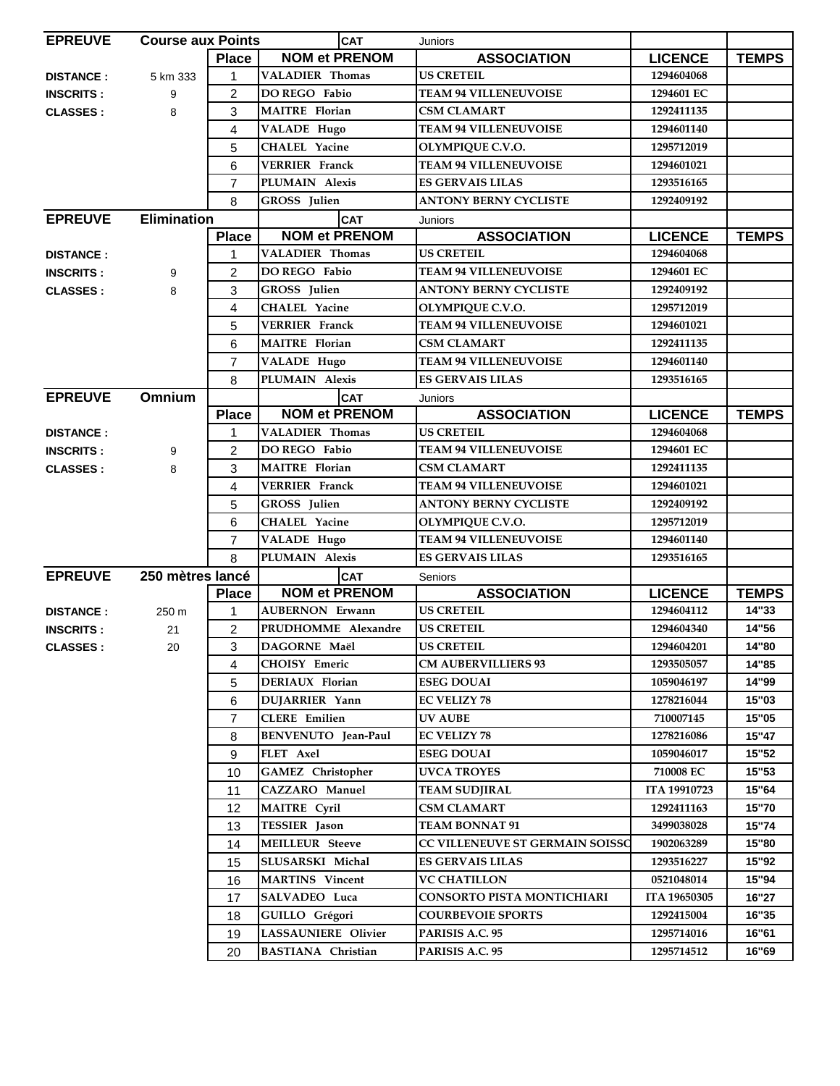| <b>EPREUVE</b>   | <b>Course aux Points</b> |                | <b>CAT</b>                 | Juniors                           |                |              |
|------------------|--------------------------|----------------|----------------------------|-----------------------------------|----------------|--------------|
|                  |                          | <b>Place</b>   | <b>NOM et PRENOM</b>       | <b>ASSOCIATION</b>                | <b>LICENCE</b> | <b>TEMPS</b> |
| <b>DISTANCE:</b> | 5 km 333                 | $\mathbf{1}$   | <b>VALADIER Thomas</b>     | <b>US CRETEIL</b>                 | 1294604068     |              |
| <b>INSCRITS:</b> | 9                        | $\overline{2}$ | DO REGO Fabio              | <b>TEAM 94 VILLENEUVOISE</b>      | 1294601 EC     |              |
| <b>CLASSES:</b>  | 8                        | 3              | <b>MAITRE</b> Florian      | <b>CSM CLAMART</b>                | 1292411135     |              |
|                  |                          | $\overline{4}$ | VALADE Hugo                | <b>TEAM 94 VILLENEUVOISE</b>      | 1294601140     |              |
|                  |                          | 5              | <b>CHALEL Yacine</b>       | OLYMPIQUE C.V.O.                  | 1295712019     |              |
|                  |                          | 6              | <b>VERRIER</b> Franck      | <b>TEAM 94 VILLENEUVOISE</b>      | 1294601021     |              |
|                  |                          | $\overline{7}$ | PLUMAIN Alexis             | <b>ES GERVAIS LILAS</b>           | 1293516165     |              |
|                  |                          | 8              | GROSS Julien               | <b>ANTONY BERNY CYCLISTE</b>      | 1292409192     |              |
| <b>EPREUVE</b>   | <b>Elimination</b>       |                | <b>CAT</b>                 | Juniors                           |                |              |
|                  |                          | <b>Place</b>   | <b>NOM et PRENOM</b>       | <b>ASSOCIATION</b>                | <b>LICENCE</b> | <b>TEMPS</b> |
| <b>DISTANCE:</b> |                          | 1              | <b>VALADIER Thomas</b>     | <b>US CRETEIL</b>                 | 1294604068     |              |
| <b>INSCRITS:</b> | 9                        | 2              | DO REGO Fabio              | <b>TEAM 94 VILLENEUVOISE</b>      | 1294601 EC     |              |
| <b>CLASSES:</b>  | 8                        | 3              | GROSS Julien               | <b>ANTONY BERNY CYCLISTE</b>      | 1292409192     |              |
|                  |                          | 4              | <b>CHALEL Yacine</b>       | OLYMPIQUE C.V.O.                  | 1295712019     |              |
|                  |                          | 5              | <b>VERRIER Franck</b>      | <b>TEAM 94 VILLENEUVOISE</b>      | 1294601021     |              |
|                  |                          | 6              | <b>MAITRE</b> Florian      | <b>CSM CLAMART</b>                | 1292411135     |              |
|                  |                          | $\overline{7}$ | VALADE Hugo                | <b>TEAM 94 VILLENEUVOISE</b>      | 1294601140     |              |
|                  |                          | 8              | PLUMAIN Alexis             | <b>ES GERVAIS LILAS</b>           | 1293516165     |              |
| <b>EPREUVE</b>   | Omnium                   |                | <b>CAT</b>                 | Juniors                           |                |              |
|                  |                          | <b>Place</b>   | <b>NOM et PRENOM</b>       | <b>ASSOCIATION</b>                | <b>LICENCE</b> | <b>TEMPS</b> |
| <b>DISTANCE:</b> |                          | 1              | <b>VALADIER Thomas</b>     | <b>US CRETEIL</b>                 | 1294604068     |              |
| <b>INSCRITS:</b> | 9                        | $\overline{2}$ | DO REGO Fabio              | <b>TEAM 94 VILLENEUVOISE</b>      | 1294601 EC     |              |
| <b>CLASSES:</b>  | 8                        | 3              | <b>MAITRE</b> Florian      | <b>CSM CLAMART</b>                | 1292411135     |              |
|                  |                          | 4              | <b>VERRIER</b> Franck      | <b>TEAM 94 VILLENEUVOISE</b>      | 1294601021     |              |
|                  |                          | 5              | GROSS Julien               | <b>ANTONY BERNY CYCLISTE</b>      | 1292409192     |              |
|                  |                          | 6              | <b>CHALEL Yacine</b>       | OLYMPIQUE C.V.O.                  | 1295712019     |              |
|                  |                          | $\overline{7}$ | <b>VALADE Hugo</b>         | <b>TEAM 94 VILLENEUVOISE</b>      | 1294601140     |              |
|                  |                          | 8              | PLUMAIN Alexis             | <b>ES GERVAIS LILAS</b>           | 1293516165     |              |
| <b>EPREUVE</b>   | 250 mètres lancé         |                | <b>CAT</b>                 | Seniors                           |                |              |
|                  |                          | <b>Place</b>   | <b>NOM et PRENOM</b>       | <b>ASSOCIATION</b>                | <b>LICENCE</b> | <b>TEMPS</b> |
| <b>DISTANCE:</b> | 250 m                    | 1              | <b>AUBERNON Erwann</b>     | <b>US CRETEIL</b>                 | 1294604112     | 14"33        |
| <b>INSCRITS:</b> | 21                       | $\overline{2}$ | PRUDHOMME Alexandre        | <b>US CRETEIL</b>                 | 1294604340     | 14"56        |
| <b>CLASSES:</b>  | 20                       | 3              | DAGORNE Maël               | <b>US CRETEIL</b>                 | 1294604201     | 14"80        |
|                  |                          | 4              | CHOISY Emeric              | <b>CM AUBERVILLIERS 93</b>        | 1293505057     | 14"85        |
|                  |                          | 5              | DERIAUX Florian            | <b>ESEG DOUAI</b>                 | 1059046197     | 14"99        |
|                  |                          | 6              | DUJARRIER Yann             | <b>EC VELIZY 78</b>               | 1278216044     | 15"03        |
|                  |                          | $\overline{7}$ | <b>CLERE</b> Emilien       | UV AUBE                           | 710007145      | 15"05        |
|                  |                          | 8              | <b>BENVENUTO</b> Jean-Paul | <b>EC VELIZY 78</b>               | 1278216086     | 15"47        |
|                  |                          | 9              | FLET Axel                  | <b>ESEG DOUAI</b>                 | 1059046017     | 15"52        |
|                  |                          | 10             | <b>GAMEZ</b> Christopher   | <b>UVCA TROYES</b>                | 710008 EC      | 15"53        |
|                  |                          | 11             | CAZZARO Manuel             | <b>TEAM SUDJIRAL</b>              | ITA 19910723   | 15"64        |
|                  |                          | 12             | <b>MAITRE Cyril</b>        | <b>CSM CLAMART</b>                | 1292411163     | 15"70        |
|                  |                          | 13             | <b>TESSIER</b> Jason       | <b>TEAM BONNAT 91</b>             | 3499038028     | 15"74        |
|                  |                          | 14             | <b>MEILLEUR Steeve</b>     | CC VILLENEUVE ST GERMAIN SOISSC   | 1902063289     | 15"80        |
|                  |                          |                | SLUSARSKI Michal           | <b>ES GERVAIS LILAS</b>           | 1293516227     | 15"92        |
|                  |                          | 15             |                            | <b>VC CHATILLON</b>               | 0521048014     | 15"94        |
|                  |                          | 16             | <b>MARTINS</b> Vincent     |                                   |                |              |
|                  |                          | 17             | SALVADEO Luca              | <b>CONSORTO PISTA MONTICHIARI</b> | ITA 19650305   | 16"27        |
|                  |                          | 18             | GUILLO Grégori             | <b>COURBEVOIE SPORTS</b>          | 1292415004     | 16"35        |
|                  |                          | 19             | LASSAUNIERE Olivier        | PARISIS A.C. 95                   | 1295714016     | 16"61        |
|                  |                          | 20             | <b>BASTIANA Christian</b>  | PARISIS A.C. 95                   | 1295714512     | 16"69        |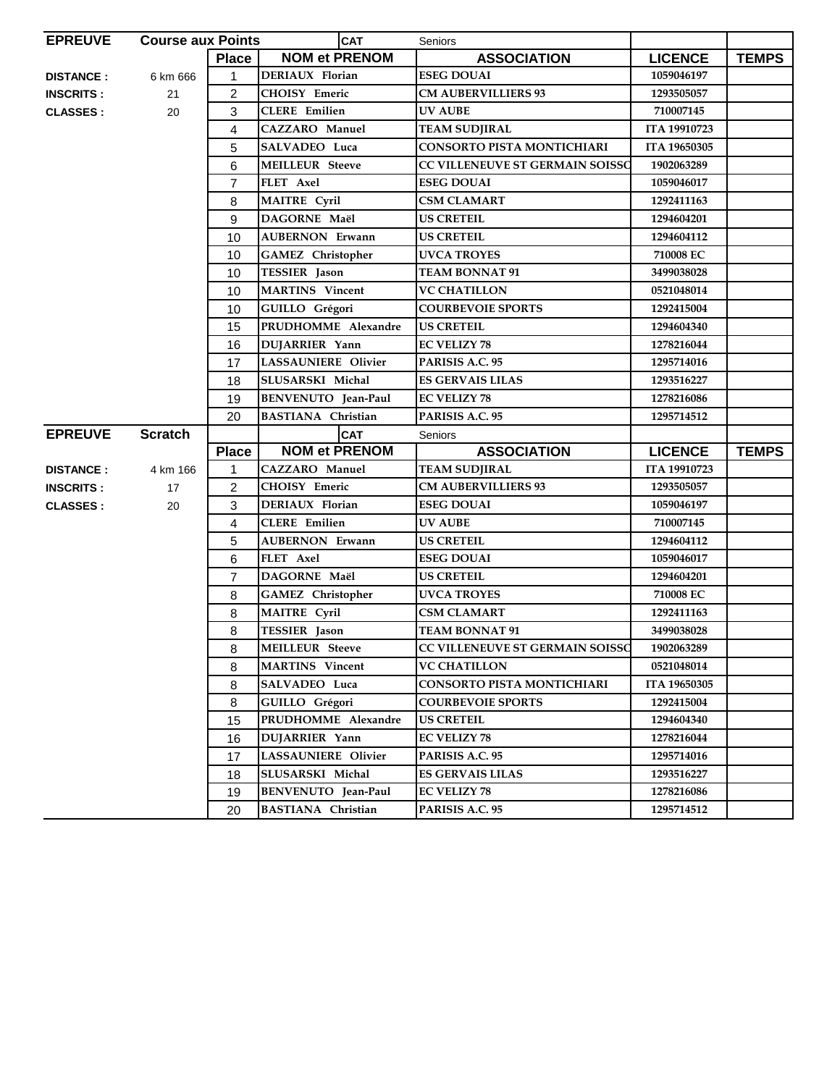| <b>EPREUVE</b>   | <b>Course aux Points</b> |                | <b>CAT</b>                 | Seniors                           |                |              |
|------------------|--------------------------|----------------|----------------------------|-----------------------------------|----------------|--------------|
|                  |                          | <b>Place</b>   | <b>NOM et PRENOM</b>       | <b>ASSOCIATION</b>                | <b>LICENCE</b> | <b>TEMPS</b> |
| <b>DISTANCE:</b> | 6 km 666                 | 1              | DERIAUX Florian            | <b>ESEG DOUAI</b>                 | 1059046197     |              |
| <b>INSCRITS:</b> | 21                       | $\overline{c}$ | <b>CHOISY Emeric</b>       | <b>CM AUBERVILLIERS 93</b>        | 1293505057     |              |
| <b>CLASSES:</b>  | 20                       | 3              | <b>CLERE</b> Emilien       | <b>UV AUBE</b>                    | 710007145      |              |
|                  |                          | 4              | <b>CAZZARO</b> Manuel      | <b>TEAM SUDJIRAL</b>              | ITA 19910723   |              |
|                  |                          | 5              | SALVADEO Luca              | CONSORTO PISTA MONTICHIARI        | ITA 19650305   |              |
|                  |                          | 6              | <b>MEILLEUR Steeve</b>     | CC VILLENEUVE ST GERMAIN SOISSC   | 1902063289     |              |
|                  |                          | 7              | FLET Axel                  | <b>ESEG DOUAI</b>                 | 1059046017     |              |
|                  |                          | 8              | <b>MAITRE</b> Cyril        | <b>CSM CLAMART</b>                | 1292411163     |              |
|                  |                          | 9              | DAGORNE Maël               | <b>US CRETEIL</b>                 | 1294604201     |              |
|                  |                          | 10             | <b>AUBERNON Erwann</b>     | <b>US CRETEIL</b>                 | 1294604112     |              |
|                  |                          | 10             | <b>GAMEZ</b> Christopher   | <b>UVCA TROYES</b>                | 710008 EC      |              |
|                  |                          | 10             | <b>TESSIER</b> Jason       | <b>TEAM BONNAT 91</b>             | 3499038028     |              |
|                  |                          | 10             | <b>MARTINS</b> Vincent     | <b>VC CHATILLON</b>               | 0521048014     |              |
|                  |                          | 10             | GUILLO Grégori             | <b>COURBEVOIE SPORTS</b>          | 1292415004     |              |
|                  |                          | 15             | PRUDHOMME Alexandre        | <b>US CRETEIL</b>                 | 1294604340     |              |
|                  |                          | 16             | DUJARRIER Yann             | <b>EC VELIZY 78</b>               | 1278216044     |              |
|                  |                          | 17             | <b>LASSAUNIERE Olivier</b> | PARISIS A.C. 95                   | 1295714016     |              |
|                  |                          | 18             | SLUSARSKI Michal           | ES GERVAIS LILAS                  | 1293516227     |              |
|                  |                          | 19             | BENVENUTO Jean-Paul        | <b>EC VELIZY 78</b>               | 1278216086     |              |
|                  |                          | 20             | <b>BASTIANA Christian</b>  | PARISIS A.C. 95                   | 1295714512     |              |
| <b>EPREUVE</b>   | <b>Scratch</b>           |                | <b>CAT</b>                 | Seniors                           |                |              |
|                  |                          | <b>Place</b>   | <b>NOM et PRENOM</b>       | <b>ASSOCIATION</b>                | <b>LICENCE</b> | <b>TEMPS</b> |
| <b>DISTANCE:</b> | 4 km 166                 | 1              | <b>CAZZARO</b> Manuel      | <b>TEAM SUDJIRAL</b>              | ITA 19910723   |              |
| <b>INSCRITS:</b> | 17                       | 2              | <b>CHOISY Emeric</b>       | <b>CM AUBERVILLIERS 93</b>        | 1293505057     |              |
| <b>CLASSES:</b>  | 20                       | 3              | DERIAUX Florian            | <b>ESEG DOUAI</b>                 | 1059046197     |              |
|                  |                          |                |                            |                                   |                |              |
|                  |                          | 4              | <b>CLERE</b> Emilien       | <b>UV AUBE</b>                    | 710007145      |              |
|                  |                          | 5              | <b>AUBERNON Erwann</b>     | <b>US CRETEIL</b>                 | 1294604112     |              |
|                  |                          | 6              | FLET Axel                  | <b>ESEG DOUAI</b>                 | 1059046017     |              |
|                  |                          | 7              | DAGORNE Maël               | <b>US CRETEIL</b>                 | 1294604201     |              |
|                  |                          | 8              | <b>GAMEZ</b> Christopher   | <b>UVCA TROYES</b>                | 710008 EC      |              |
|                  |                          | 8              | <b>MAITRE Cyril</b>        | <b>CSM CLAMART</b>                | 1292411163     |              |
|                  |                          | 8              | <b>TESSIER</b> Jason       | <b>TEAM BONNAT 91</b>             | 3499038028     |              |
|                  |                          | 8              | MEILLEUR Steeve            | CC VILLENEUVE ST GERMAIN SOISSO   | 1902063289     |              |
|                  |                          | 8              | <b>MARTINS</b> Vincent     | <b>VC CHATILLON</b>               | 0521048014     |              |
|                  |                          | 8              | SALVADEO Luca              | <b>CONSORTO PISTA MONTICHIARI</b> | ITA 19650305   |              |
|                  |                          | 8              | GUILLO Grégori             | <b>COURBEVOIE SPORTS</b>          | 1292415004     |              |
|                  |                          | 15             | PRUDHOMME Alexandre        | <b>US CRETEIL</b>                 | 1294604340     |              |
|                  |                          | 16             | <b>DUJARRIER Yann</b>      | <b>EC VELIZY 78</b>               | 1278216044     |              |
|                  |                          | 17             | LASSAUNIERE Olivier        | PARISIS A.C. 95                   | 1295714016     |              |
|                  |                          | 18             | SLUSARSKI Michal           | <b>ES GERVAIS LILAS</b>           | 1293516227     |              |
|                  |                          | 19             | BENVENUTO Jean-Paul        | <b>EC VELIZY 78</b>               | 1278216086     |              |